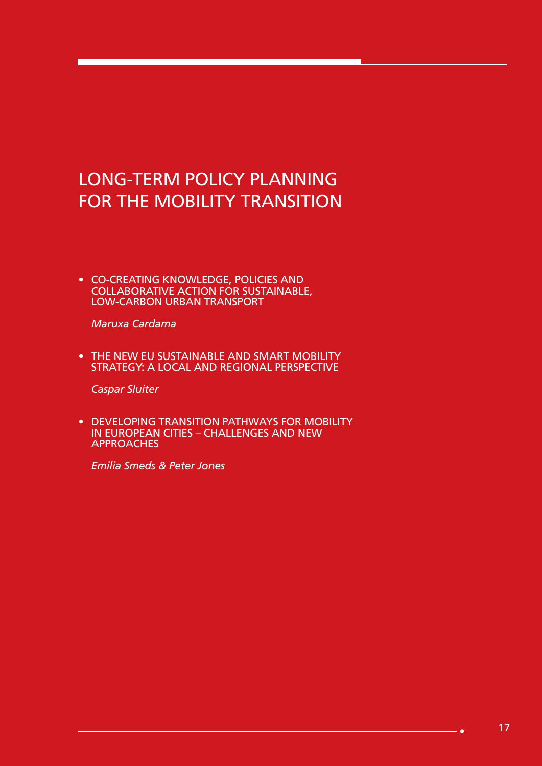# LONG-TERM POLICY PLANNING FOR THE MOBILITY TRANSITION

• CO-CREATING KNOWLEDGE, POLICIES AND COLLABORATIVE ACTION FOR SUSTAINABLE, LOW-CARBON URBAN TRANSPORT

*Maruxa Cardama* 

• THE NEW EU SUSTAINABLE AND SMART MOBILITY STRATEGY: A LOCAL AND REGIONAL PERSPECTIVE

*Caspar Sluiter* 

• DEVELOPING TRANSITION PATHWAYS FOR MOBILITY IN EUROPEAN CITIES – CHALLENGES AND NEW **APPROACHES** 

*Emilia Smeds & Peter Jones*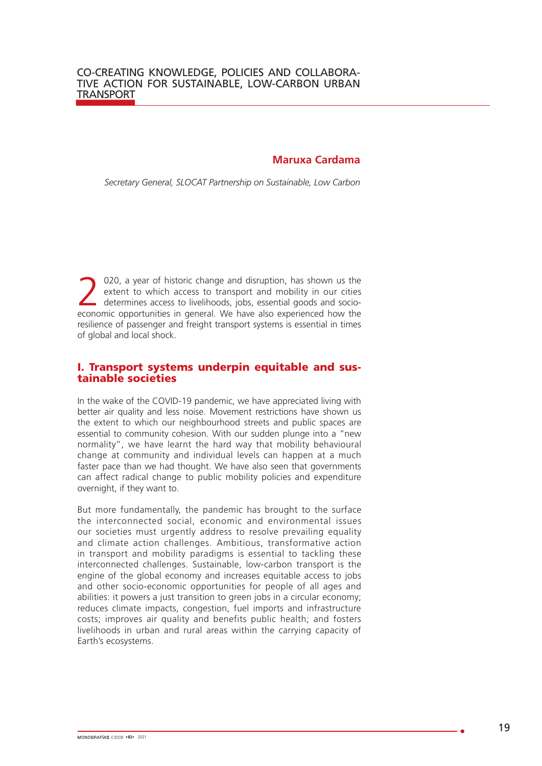#### **Maruxa Cardama**

*Secretary General, SLOCAT Partnership on Sustainable, Low Carbon* 

2020, a year of historic change and disruption, has shown us the extent to which access to transport and mobility in our cities determines access to livelihoods, jobs, essential goods and socioextent to which access to transport and mobility in our cities economic opportunities in general. We have also experienced how the resilience of passenger and freight transport systems is essential in times of global and local shock.

#### I. Transport systems underpin equitable and sustainable societies

In the wake of the COVID-19 pandemic, we have appreciated living with better air quality and less noise. Movement restrictions have shown us the extent to which our neighbourhood streets and public spaces are essential to community cohesion. With our sudden plunge into a "new normality", we have learnt the hard way that mobility behavioural change at community and individual levels can happen at a much faster pace than we had thought. We have also seen that governments can affect radical change to public mobility policies and expenditure overnight, if they want to.

But more fundamentally, the pandemic has brought to the surface the interconnected social, economic and environmental issues our societies must urgently address to resolve prevailing equality and climate action challenges. Ambitious, transformative action in transport and mobility paradigms is essential to tackling these interconnected challenges. Sustainable, low-carbon transport is the engine of the global economy and increases equitable access to jobs and other socio-economic opportunities for people of all ages and abilities: it powers a just transition to green jobs in a circular economy; reduces climate impacts, congestion, fuel imports and infrastructure costs; improves air quality and benefits public health; and fosters livelihoods in urban and rural areas within the carrying capacity of Earth's ecosystems.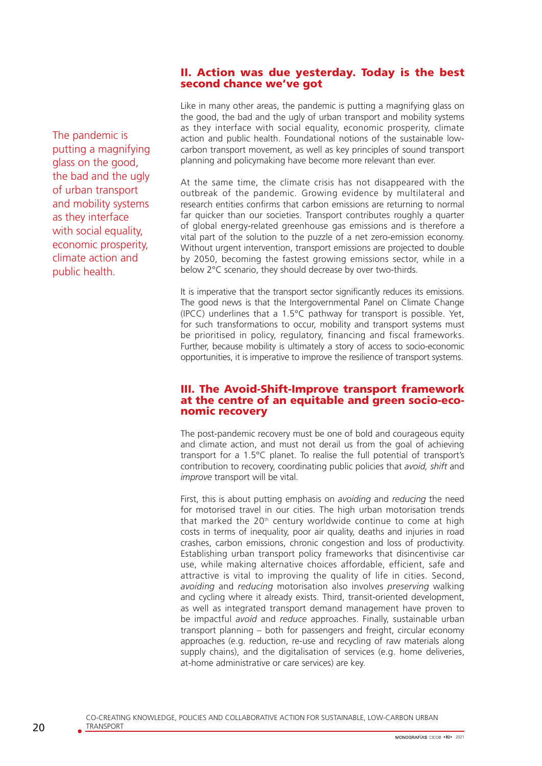#### II. Action was due yesterday. Today is the best second chance we've got

The pandemic is putting a magnifying glass on the good, the bad and the ugly of urban transport and mobility systems as they interface with social equality, economic prosperity, climate action and public health.

Like in many other areas, the pandemic is putting a magnifying glass on the good, the bad and the ugly of urban transport and mobility systems as they interface with social equality, economic prosperity, climate action and public health. Foundational notions of the sustainable lowcarbon transport movement, as well as key principles of sound transport planning and policymaking have become more relevant than ever.

At the same time, the climate crisis has not disappeared with the outbreak of the pandemic. Growing evidence by multilateral and research entities confirms that carbon emissions are returning to normal far quicker than our societies. Transport contributes roughly a quarter of global energy-related greenhouse gas emissions and is therefore a vital part of the solution to the puzzle of a net zero-emission economy. Without urgent intervention, transport emissions are projected to double by 2050, becoming the fastest growing emissions sector, while in a below 2°C scenario, they should decrease by over two-thirds.

It is imperative that the transport sector significantly reduces its emissions. The good news is that the Intergovernmental Panel on Climate Change (IPCC) underlines that a 1.5°C pathway for transport is possible. Yet, for such transformations to occur, mobility and transport systems must be prioritised in policy, regulatory, financing and fiscal frameworks. Further, because mobility is ultimately a story of access to socio-economic opportunities, it is imperative to improve the resilience of transport systems.

#### III. The Avoid-Shift-Improve transport framework at the centre of an equitable and green socio-economic recovery

The post-pandemic recovery must be one of bold and courageous equity and climate action, and must not derail us from the goal of achieving transport for a 1.5°C planet. To realise the full potential of transport's contribution to recovery, coordinating public policies that *avoid, shift* and *improve* transport will be vital.

First, this is about putting emphasis on *avoiding* and *reducing* the need for motorised travel in our cities. The high urban motorisation trends that marked the 20<sup>th</sup> century worldwide continue to come at high costs in terms of inequality, poor air quality, deaths and injuries in road crashes, carbon emissions, chronic congestion and loss of productivity. Establishing urban transport policy frameworks that disincentivise car use, while making alternative choices affordable, efficient, safe and attractive is vital to improving the quality of life in cities. Second, *avoiding* and *reducing* motorisation also involves *preserving* walking and cycling where it already exists. Third, transit-oriented development, as well as integrated transport demand management have proven to be impactful *avoid* and *reduce* approaches. Finally, sustainable urban transport planning – both for passengers and freight, circular economy approaches (e.g. reduction, re-use and recycling of raw materials along supply chains), and the digitalisation of services (e.g. home deliveries, at-home administrative or care services) are key.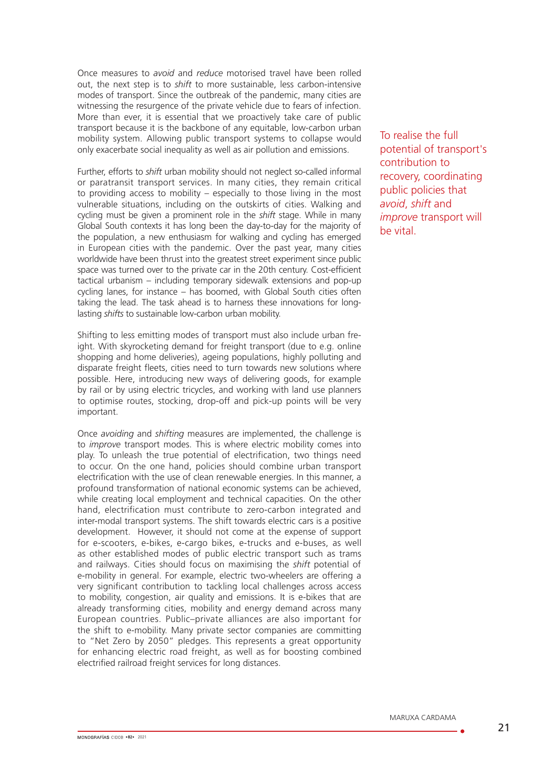Once measures to *avoid* and *reduce* motorised travel have been rolled out, the next step is to *shift* to more sustainable, less carbon-intensive modes of transport. Since the outbreak of the pandemic, many cities are witnessing the resurgence of the private vehicle due to fears of infection. More than ever, it is essential that we proactively take care of public transport because it is the backbone of any equitable, low-carbon urban mobility system. Allowing public transport systems to collapse would only exacerbate social inequality as well as air pollution and emissions.

Further, efforts to *shift* urban mobility should not neglect so-called informal or paratransit transport services. In many cities, they remain critical to providing access to mobility – especially to those living in the most vulnerable situations, including on the outskirts of cities. Walking and cycling must be given a prominent role in the *shift* stage. While in many Global South contexts it has long been the day-to-day for the majority of the population, a new enthusiasm for walking and cycling has emerged in European cities with the pandemic. Over the past year, many cities worldwide have been thrust into the greatest street experiment since public space was turned over to the private car in the 20th century. Cost-efficient tactical urbanism – including temporary sidewalk extensions and pop-up cycling lanes, for instance – has boomed, with Global South cities often taking the lead. The task ahead is to harness these innovations for longlasting *shifts* to sustainable low-carbon urban mobility.

Shifting to less emitting modes of transport must also include urban freight. With skyrocketing demand for freight transport (due to e.g. online shopping and home deliveries), ageing populations, highly polluting and disparate freight fleets, cities need to turn towards new solutions where possible. Here, introducing new ways of delivering goods, for example by rail or by using electric tricycles, and working with land use planners to optimise routes, stocking, drop-off and pick-up points will be very important.

Once *avoiding* and *shifting* measures are implemented, the challenge is to *improve* transport modes. This is where electric mobility comes into play. To unleash the true potential of electrification, two things need to occur. On the one hand, policies should combine urban transport electrification with the use of clean renewable energies. In this manner, a profound transformation of national economic systems can be achieved, while creating local employment and technical capacities. On the other hand, electrification must contribute to zero-carbon integrated and inter-modal transport systems. The shift towards electric cars is a positive development. However, it should not come at the expense of support for e-scooters, e-bikes, e-cargo bikes, e-trucks and e-buses, as well as other established modes of public electric transport such as trams and railways. Cities should focus on maximising the *shift* potential of e-mobility in general. For example, electric two-wheelers are offering a very significant contribution to tackling local challenges across access to mobility, congestion, air quality and emissions. It is e-bikes that are already transforming cities, mobility and energy demand across many European countries. Public–private alliances are also important for the shift to e-mobility. Many private sector companies are committing to "Net Zero by 2050" pledges. This represents a great opportunity for enhancing electric road freight, as well as for boosting combined electrified railroad freight services for long distances.

To realise the full potential of transport's contribution to recovery, coordinating public policies that *avoid*, *shift* and *improve* transport will be vital.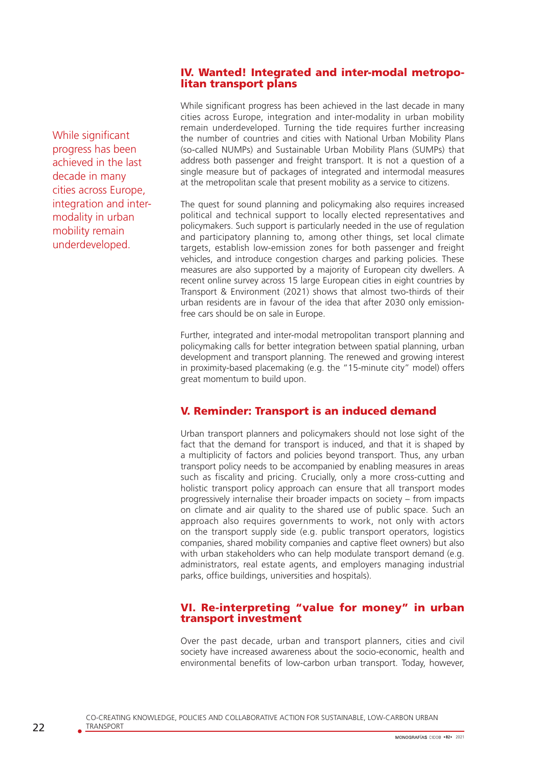#### IV. Wanted! Integrated and inter-modal metropolitan transport plans

While significant progress has been achieved in the last decade in many cities across Europe, integration and intermodality in urban mobility remain underdeveloped.

While significant progress has been achieved in the last decade in many cities across Europe, integration and inter-modality in urban mobility remain underdeveloped. Turning the tide requires further increasing the number of countries and cities with National Urban Mobility Plans (so-called NUMPs) and Sustainable Urban Mobility Plans (SUMPs) that address both passenger and freight transport. It is not a question of a single measure but of packages of integrated and intermodal measures at the metropolitan scale that present mobility as a service to citizens.

The quest for sound planning and policymaking also requires increased political and technical support to locally elected representatives and policymakers. Such support is particularly needed in the use of regulation and participatory planning to, among other things, set local climate targets, establish low-emission zones for both passenger and freight vehicles, and introduce congestion charges and parking policies. These measures are also supported by a majority of European city dwellers. A recent online survey across 15 large European cities in eight countries by Transport & Environment (2021) shows that almost two-thirds of their urban residents are in favour of the idea that after 2030 only emissionfree cars should be on sale in Europe.

Further, integrated and inter-modal metropolitan transport planning and policymaking calls for better integration between spatial planning, urban development and transport planning. The renewed and growing interest in proximity-based placemaking (e.g. the "15-minute city" model) offers great momentum to build upon.

# V. Reminder: Transport is an induced demand

Urban transport planners and policymakers should not lose sight of the fact that the demand for transport is induced, and that it is shaped by a multiplicity of factors and policies beyond transport. Thus, any urban transport policy needs to be accompanied by enabling measures in areas such as fiscality and pricing. Crucially, only a more cross-cutting and holistic transport policy approach can ensure that all transport modes progressively internalise their broader impacts on society – from impacts on climate and air quality to the shared use of public space. Such an approach also requires governments to work, not only with actors on the transport supply side (e.g. public transport operators, logistics companies, shared mobility companies and captive fleet owners) but also with urban stakeholders who can help modulate transport demand (e.g. administrators, real estate agents, and employers managing industrial parks, office buildings, universities and hospitals).

### VI. Re-interpreting "value for money" in urban transport investment

Over the past decade, urban and transport planners, cities and civil society have increased awareness about the socio-economic, health and environmental benefits of low-carbon urban transport. Today, however,